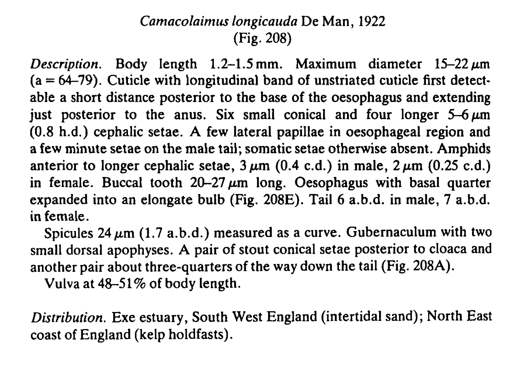## Camacolaimus longicauda De Man, 1922 (Fig. 208)

Description. Body length  $1.2-1.5$  mm. Maximum diameter  $15-22 \mu m$  $(a = 64-79)$ . Cuticle with longitudinal band of unstriated cuticle first detectable a short distance posterior to the base of the oesophagus and extending just posterior to the anus. Six small conical and four longer  $5-6 \mu m$ (0.8 h.d.) cephalic setae. A few lateral papillae in oesophageal region and a few minute setae on the male tail; somatic setae otherwise absent. Amphids anterior to longer cephalic setae,  $3 \mu m$  (0.4 c.d.) in male,  $2 \mu m$  (0.25 c.d.) in female. Buccal tooth  $20-27 \mu m$  long. Oesophagus with basal quarter expanded into an elongate bulb (Fig. 208E). Tail 6 a.b.d. in male, 7 a.b.d. in female.

Spicules  $24 \mu m$  (1.7 a.b.d.) measured as a curve. Gubernaculum with two small dorsal apophyses. A pair of stout conical setae posterior to cloaca and another pair about three-quarters of the way down the tail (Fig. 208A).

Vulva at  $48-51\%$  of body length.

Distribution. Exe estuary, South West England (intertidal sand); North East coast of England (kelp holdfasts).